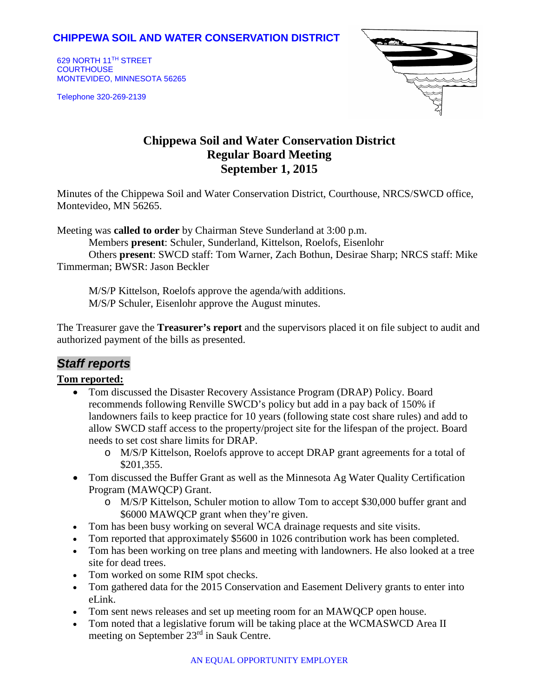### **CHIPPEWA SOIL AND WATER CONSERVATION DISTRICT**

629 NORTH 11TH STREET **COURTHOUSE** MONTEVIDEO, MINNESOTA 56265

Telephone 320-269-2139



# **Chippewa Soil and Water Conservation District Regular Board Meeting September 1, 2015**

Minutes of the Chippewa Soil and Water Conservation District, Courthouse, NRCS/SWCD office, Montevideo, MN 56265.

Meeting was **called to order** by Chairman Steve Sunderland at 3:00 p.m.

Members **present**: Schuler, Sunderland, Kittelson, Roelofs, Eisenlohr

Others **present**: SWCD staff: Tom Warner, Zach Bothun, Desirae Sharp; NRCS staff: Mike Timmerman; BWSR: Jason Beckler

M/S/P Kittelson, Roelofs approve the agenda/with additions. M/S/P Schuler, Eisenlohr approve the August minutes.

The Treasurer gave the **Treasurer's report** and the supervisors placed it on file subject to audit and authorized payment of the bills as presented.

# *Staff reports*

### **Tom reported:**

- Tom discussed the Disaster Recovery Assistance Program (DRAP) Policy. Board recommends following Renville SWCD's policy but add in a pay back of 150% if landowners fails to keep practice for 10 years (following state cost share rules) and add to allow SWCD staff access to the property/project site for the lifespan of the project. Board needs to set cost share limits for DRAP.
	- o M/S/P Kittelson, Roelofs approve to accept DRAP grant agreements for a total of \$201,355.
- Tom discussed the Buffer Grant as well as the Minnesota Ag Water Quality Certification Program (MAWQCP) Grant.
	- o M/S/P Kittelson, Schuler motion to allow Tom to accept \$30,000 buffer grant and \$6000 MAWQCP grant when they're given.
- Tom has been busy working on several WCA drainage requests and site visits.
- Tom reported that approximately \$5600 in 1026 contribution work has been completed.
- Tom has been working on tree plans and meeting with landowners. He also looked at a tree site for dead trees.
- Tom worked on some RIM spot checks.
- Tom gathered data for the 2015 Conservation and Easement Delivery grants to enter into eLink.
- Tom sent news releases and set up meeting room for an MAWQCP open house.
- Tom noted that a legislative forum will be taking place at the WCMASWCD Area II meeting on September 23rd in Sauk Centre.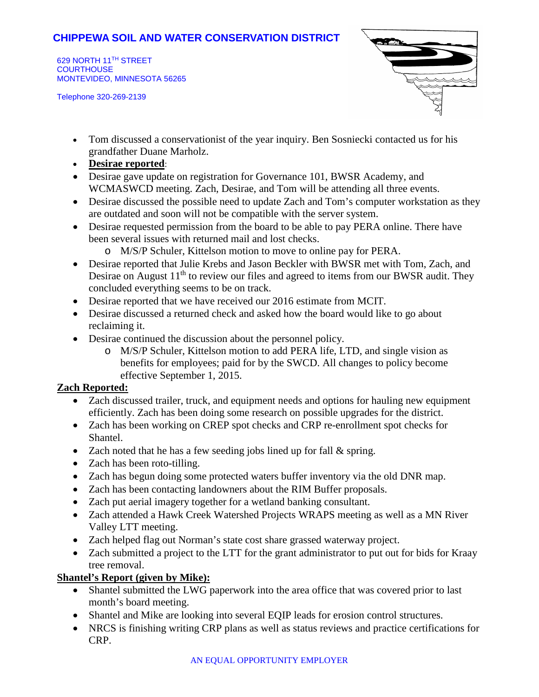## **CHIPPEWA SOIL AND WATER CONSERVATION DISTRICT**

629 NORTH 11TH STREET **COURTHOUSE** MONTEVIDEO, MINNESOTA 56265

Telephone 320-269-2139



- Tom discussed a conservationist of the year inquiry. Ben Sosniecki contacted us for his grandfather Duane Marholz.
- **Desirae reported**:
- Desirae gave update on registration for Governance 101, BWSR Academy, and WCMASWCD meeting. Zach, Desirae, and Tom will be attending all three events.
- Desirae discussed the possible need to update Zach and Tom's computer workstation as they are outdated and soon will not be compatible with the server system.
- Desirae requested permission from the board to be able to pay PERA online. There have been several issues with returned mail and lost checks.
	- o M/S/P Schuler, Kittelson motion to move to online pay for PERA.
- Desirae reported that Julie Krebs and Jason Beckler with BWSR met with Tom, Zach, and Desirae on August  $11<sup>th</sup>$  to review our files and agreed to items from our BWSR audit. They concluded everything seems to be on track.
- Desirae reported that we have received our 2016 estimate from MCIT.
- Desirae discussed a returned check and asked how the board would like to go about reclaiming it.
- Desirae continued the discussion about the personnel policy.
	- o M/S/P Schuler, Kittelson motion to add PERA life, LTD, and single vision as benefits for employees; paid for by the SWCD. All changes to policy become effective September 1, 2015.

#### **Zach Reported:**

- Zach discussed trailer, truck, and equipment needs and options for hauling new equipment efficiently. Zach has been doing some research on possible upgrades for the district.
- Zach has been working on CREP spot checks and CRP re-enrollment spot checks for Shantel.
- Zach noted that he has a few seeding jobs lined up for fall & spring.
- Zach has been roto-tilling.
- Zach has begun doing some protected waters buffer inventory via the old DNR map.
- Zach has been contacting landowners about the RIM Buffer proposals.
- Zach put aerial imagery together for a wetland banking consultant.
- Zach attended a Hawk Creek Watershed Projects WRAPS meeting as well as a MN River Valley LTT meeting.
- Zach helped flag out Norman's state cost share grassed waterway project.
- Zach submitted a project to the LTT for the grant administrator to put out for bids for Kraay tree removal.

### **Shantel's Report (given by Mike):**

- Shantel submitted the LWG paperwork into the area office that was covered prior to last month's board meeting.
- Shantel and Mike are looking into several EQIP leads for erosion control structures.
- NRCS is finishing writing CRP plans as well as status reviews and practice certifications for CRP.